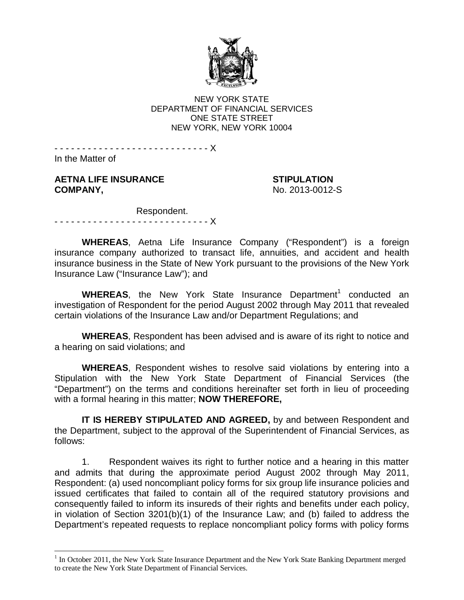

 NEW YORK STATE DEPARTMENT OF FINANCIAL SERVICES ONE STATE STREET NEW YORK, NEW YORK 10004

 - - - - - - - - - - - - - - - - - - - - - - - - - - - - X In the Matter of

**AETNA LIFE INSURANCE STIPULATION COMPANY,** 

 $\overline{a}$ 

**COMPANY,** No. 2013-0012-S

Respondent.

- - - - - - - - - - - - - - - - - - - - - - - - - - - - X

 **WHEREAS**, Aetna Life Insurance Company ("Respondent") is a foreign insurance company authorized to transact life, annuities, and accident and health insurance business in the State of New York pursuant to the provisions of the New York Insurance Law ("Insurance Law"); and

**WHEREAS**, the New York State Insurance Department<sup>1</sup> conducted an investigation of Respondent for the period August 2002 through May 2011 that revealed certain violations of the Insurance Law and/or Department Regulations; and

 **WHEREAS**, Respondent has been advised and is aware of its right to notice and a hearing on said violations; and

 **WHEREAS**, Respondent wishes to resolve said violations by entering into a Stipulation with the New York State Department of Financial Services (the "Department") on the terms and conditions hereinafter set forth in lieu of proceeding with a formal hearing in this matter; **NOW THEREFORE,** 

 **IT IS HEREBY STIPULATED AND AGREED,** by and between Respondent and the Department, subject to the approval of the Superintendent of Financial Services, as follows:

 and admits that during the approximate period August 2002 through May 2011, Respondent: (a) used noncompliant policy forms for six group life insurance policies and issued certificates that failed to contain all of the required statutory provisions and consequently failed to inform its insureds of their rights and benefits under each policy, in violation of Section 3201(b)(1) of the Insurance Law; and (b) failed to address the Department's repeated requests to replace noncompliant policy forms with policy forms 1. Respondent waives its right to further notice and a hearing in this matter

<sup>&</sup>lt;sup>1</sup> In October 2011, the New York State Insurance Department and the New York State Banking Department merged to create the New York State Department of Financial Services.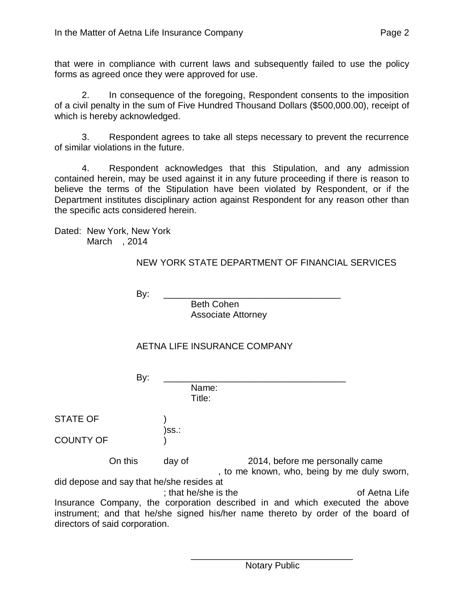that were in compliance with current laws and subsequently failed to use the policy forms as agreed once they were approved for use.

 of a civil penalty in the sum of Five Hundred Thousand Dollars (\$500,000.00), receipt of which is hereby acknowledged. 2. In consequence of the foregoing, Respondent consents to the imposition

 of similar violations in the future. 3. Respondent agrees to take all steps necessary to prevent the recurrence

 contained herein, may be used against it in any future proceeding if there is reason to believe the terms of the Stipulation have been violated by Respondent, or if the Department institutes disciplinary action against Respondent for any reason other than the specific acts considered herein. 4. Respondent acknowledges that this Stipulation, and any admission

 Dated: New York, New York March , 2014

NEW YORK STATE DEPARTMENT OF FINANCIAL SERVICES

By: \_\_\_\_\_\_\_\_\_\_\_\_\_\_\_\_\_\_\_\_\_\_\_\_\_\_\_\_\_\_\_\_\_\_\_

Beth Cohen Associate Attorney

|                                           |                      | AETNA LIFE INSURANCE COMPANY                                                   |
|-------------------------------------------|----------------------|--------------------------------------------------------------------------------|
| By:                                       |                      |                                                                                |
|                                           | Name:<br>Title:      |                                                                                |
| <b>STATE OF</b>                           |                      |                                                                                |
| <b>COUNTY OF</b>                          | )ss.:                |                                                                                |
| On this                                   | day of               | 2014, before me personally came<br>, to me known, who, being by me duly sworn, |
| did depose and say that he/she resides at |                      |                                                                                |
|                                           | ; that he/she is the | of Aetna Life                                                                  |
|                                           |                      | Insurance Company, the corporation described in and which executed the above   |

 instrument; and that he/she signed his/her name thereto by order of the board of directors of said corporation. Insurance Company, the corporation described in and which executed the above

 $\overline{\phantom{a}}$  ,  $\overline{\phantom{a}}$  ,  $\overline{\phantom{a}}$  ,  $\overline{\phantom{a}}$  ,  $\overline{\phantom{a}}$  ,  $\overline{\phantom{a}}$  ,  $\overline{\phantom{a}}$  ,  $\overline{\phantom{a}}$  ,  $\overline{\phantom{a}}$  ,  $\overline{\phantom{a}}$  ,  $\overline{\phantom{a}}$  ,  $\overline{\phantom{a}}$  ,  $\overline{\phantom{a}}$  ,  $\overline{\phantom{a}}$  ,  $\overline{\phantom{a}}$  ,  $\overline{\phantom{a}}$